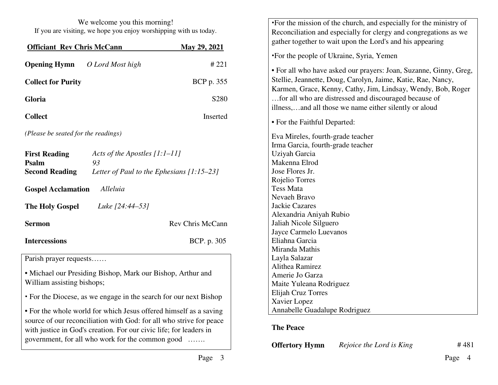We welcome you this morning! If you are visiting, we hope you enjoy worshipping with us today.

| <b>Officiant Rev Chris McCann</b>                      |                                                                                                                                                                                                                | May 29, 2021            |  |
|--------------------------------------------------------|----------------------------------------------------------------------------------------------------------------------------------------------------------------------------------------------------------------|-------------------------|--|
|                                                        | <b>Opening Hymn</b> O Lord Most high                                                                                                                                                                           | #221                    |  |
| <b>Collect for Purity</b>                              |                                                                                                                                                                                                                | BCP p. 355              |  |
| Gloria                                                 |                                                                                                                                                                                                                | S280                    |  |
| <b>Collect</b>                                         |                                                                                                                                                                                                                | Inserted                |  |
| (Please be seated for the readings)                    |                                                                                                                                                                                                                |                         |  |
| <b>First Reading</b><br>Psalm<br><b>Second Reading</b> | Acts of the Apostles [1:1-11]<br>93<br>Letter of Paul to the Ephesians $[1:15-23]$                                                                                                                             |                         |  |
| <b>Gospel Acclamation</b>                              | Alleluia                                                                                                                                                                                                       |                         |  |
| <b>The Holy Gospel</b>                                 | Luke [24:44-53]                                                                                                                                                                                                |                         |  |
| <b>Sermon</b>                                          |                                                                                                                                                                                                                | <b>Rev Chris McCann</b> |  |
| <b>Intercessions</b>                                   |                                                                                                                                                                                                                | BCP. p. 305             |  |
| Parish prayer requests                                 |                                                                                                                                                                                                                |                         |  |
| William assisting bishops;                             | • Michael our Presiding Bishop, Mark our Bishop, Arthur and                                                                                                                                                    |                         |  |
|                                                        | • For the Diocese, as we engage in the search for our next Bishop                                                                                                                                              |                         |  |
|                                                        | • For the whole world for which Jesus offered himself as a saving<br>source of our reconciliation with God: for all who strive for peace<br>with justice in God's creation. For our civic life; for leaders in |                         |  |

government, for all who work for the common good …….

For the mission of the church, and especially for the ministry of Reconciliation and especially for clergy and congregations as we gather together to wait upon the Lord's and his appearing For the people of Ukraine, Syria, Yemen • For all who have asked our prayers: Joan, Suzanne, Ginny, Greg, Stellie, Jeannette, Doug, Carolyn, Jaime, Katie, Rae, Nancy, Karmen, Grace, Kenny, Cathy, Jim, Lindsay, Wendy, Bob, Roger …for all who are distressed and discouraged because of illness,…and all those we name either silently or aloud • For the Faithful Departed: Eva Mireles, fourth-grade teacher Irma Garcia, fourth-grade teacherUziyah Garcia Makenna Elrod Jose Flores Jr. Rojelio Torres Tess Mata Nevaeh Bravo Jackie Cazares Alexandria Aniyah Rubio Jaliah Nicole Silguero Jayce Carmelo Luevanos Eliahna Garcia Miranda Mathis Layla Salazar Alithea Ramirez Amerie Jo Garza Maite Yuleana Rodriguez Elijah Cruz Torres Xavier Lopez Annabelle Guadalupe Rodriguez

### **The Peace**

**Offertory Hymn** *Rejoice the Lord is King* # 481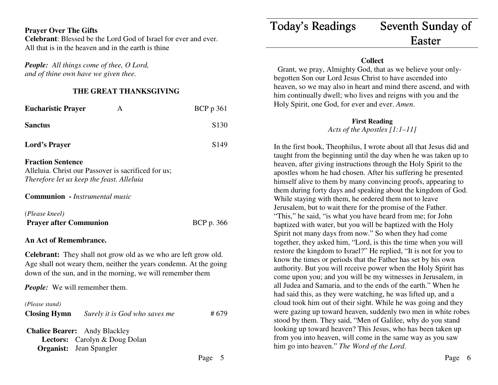## **Prayer Over The Gifts**

 **Celebrant**: Blessed be the Lord God of Israel for ever and ever. All that is in the heaven and in the earth is thine

*People: All things come of thee, O Lord, and of thine own have we given thee.* 

#### **THE GREAT THANKSGIVING**

| <b>Eucharistic Prayer</b><br>A                                                                                                                                               | <b>BCP</b> p 361 |
|------------------------------------------------------------------------------------------------------------------------------------------------------------------------------|------------------|
| <b>Sanctus</b>                                                                                                                                                               | S <sub>130</sub> |
| Lord's Prayer                                                                                                                                                                | S <sub>149</sub> |
| <b>Fraction Sentence</b><br>Alleluia. Christ our Passover is sacrificed for us;<br>Therefore let us keep the feast. Alleluia<br><b>Communion</b> - <i>Instrumental music</i> |                  |
| (Please kneel)<br><b>Prayer after Communion</b><br>An Act of Remembrance.                                                                                                    | BCP p. 366       |

**Celebrant:** They shall not grow old as we who are left grow old. Age shall not weary them, neither the years condemn. At the going down of the sun, and in the morning, we will remember them

*People:* We will remember them.

#### *(Please stand)*

| <b>Closing Hymn</b> | Surely it is God who saves me        | #679 |
|---------------------|--------------------------------------|------|
|                     | <b>Chalice Bearer:</b> Andy Blackley |      |
|                     | <b>Lectors:</b> Carolyn & Doug Dolan |      |
|                     | <b>Organist:</b> Jean Spangler       |      |

# Today's Readingss Seventh Sunday of **Easter**

### **Collect**

 Grant, we pray, Almighty God, that as we believe your onlybegotten Son our Lord Jesus Christ to have ascended into heaven, so we may also in heart and mind there ascend, and with him continually dwell; who lives and reigns with you and the Holy Spirit, one God, for ever and ever. *Amen*.

### **First Reading** *Acts of the Apostles [1:1–11]*

In the first book, Theophilus, I wrote about all that Jesus did and taught from the beginning until the day when he was taken up to heaven, after giving instructions through the Holy Spirit to the apostles whom he had chosen. After his suffering he presented himself alive to them by many convincing proofs, appearing to them during forty days and speaking about the kingdom of God. While staying with them, he ordered them not to leave Jerusalem, but to wait there for the promise of the Father. "This," he said, "is what you have heard from me; for John baptized with water, but you will be baptized with the Holy Spirit not many days from now." So when they had come together, they asked him, "Lord, is this the time when you will restore the kingdom to Israel?" He replied, "It is not for you to know the times or periods that the Father has set by his own authority. But you will receive power when the Holy Spirit has come upon you; and you will be my witnesses in Jerusalem, in all Judea and Samaria, and to the ends of the earth." When he had said this, as they were watching, he was lifted up, and a cloud took him out of their sight. While he was going and they were gazing up toward heaven, suddenly two men in white robes stood by them. They said, "Men of Galilee, why do you stand looking up toward heaven? This Jesus, who has been taken up from you into heaven, will come in the same way as you saw him go into heaven." *The Word of the Lord*.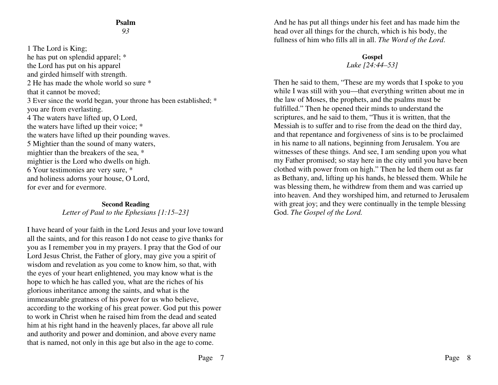# **Psalm**

*93* 

1 The Lord is King; he has put on splendid apparel; \* the Lord has put on his apparel and girded himself with strength. 2 He has made the whole world so sure \* that it cannot be moved; 3 Ever since the world began, your throne has been established; \* you are from everlasting. 4 The waters have lifted up, O Lord, the waters have lifted up their voice; \* the waters have lifted up their pounding waves. 5 Mightier than the sound of many waters, mightier than the breakers of the sea, \* mightier is the Lord who dwells on high. 6 Your testimonies are very sure, \* and holiness adorns your house, O Lord, for ever and for evermore.

#### **Second Reading**

*Letter of Paul to the Ephesians [1:15–23]* 

I have heard of your faith in the Lord Jesus and your love toward all the saints, and for this reason I do not cease to give thanks for you as I remember you in my prayers. I pray that the God of our Lord Jesus Christ, the Father of glory, may give you a spirit of wisdom and revelation as you come to know him, so that, with the eyes of your heart enlightened, you may know what is the hope to which he has called you, what are the riches of his glorious inheritance among the saints, and what is the immeasurable greatness of his power for us who believe, according to the working of his great power. God put this power to work in Christ when he raised him from the dead and seated him at his right hand in the heavenly places, far above all rule and authority and power and dominion, and above every name that is named, not only in this age but also in the age to come.

And he has put all things under his feet and has made him the head over all things for the church, which is his body, the fullness of him who fills all in all. *The Word of the Lord*.

# **Gospel** *Luke [24:44–53]*

Then he said to them, "These are my words that I spoke to you while I was still with you—that everything written about me in the law of Moses, the prophets, and the psalms must be fulfilled." Then he opened their minds to understand the scriptures, and he said to them, "Thus it is written, that the Messiah is to suffer and to rise from the dead on the third day, and that repentance and forgiveness of sins is to be proclaimed in his name to all nations, beginning from Jerusalem. You are witnesses of these things. And see, I am sending upon you what my Father promised; so stay here in the city until you have been clothed with power from on high." Then he led them out as far as Bethany, and, lifting up his hands, he blessed them. While he was blessing them, he withdrew from them and was carried up into heaven. And they worshiped him, and returned to Jerusalem with great joy; and they were continually in the temple blessing God. *The Gospel of the Lord.*